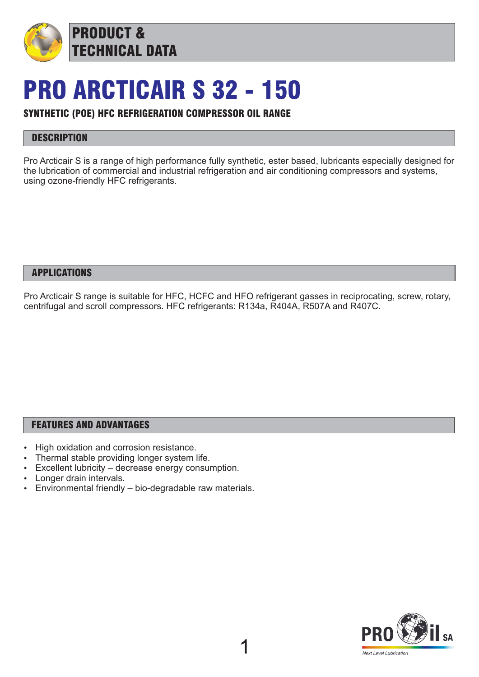

## PRO ARCTICAIR S 32 - 150

## SYNTHETIC (POE) HFC REFRIGERATION COMPRESSOR OIL RANGE

## **DESCRIPTION**

Pro Arcticair S is a range of high performance fully synthetic, ester based, lubricants especially designed for the lubrication of commercial and industrial refrigeration and air conditioning compressors and systems, using ozone-friendly HFC refrigerants.

#### APPLICATIONS

Pro Arcticair S range is suitable for HFC, HCFC and HFO refrigerant gasses in reciprocating, screw, rotary, centrifugal and scroll compressors. HFC refrigerants: R134a, R404A, R507A and R407C.

#### FEATURES AND ADVANTAGES

- High oxidation and corrosion resistance.
- Thermal stable providing longer system life.
- Excellent lubricity decrease energy consumption.
- Longer drain intervals.
- $\cdot$  Environmental friendly bio-degradable raw materials.